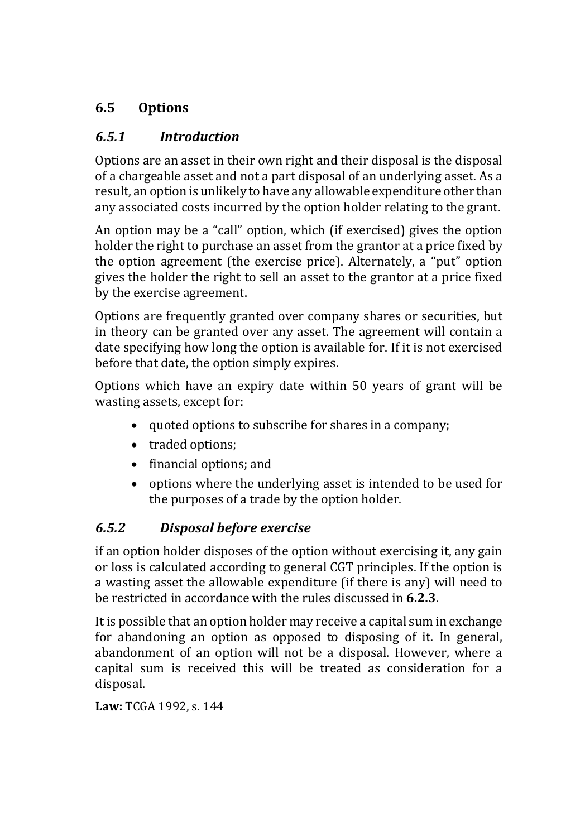## **6.5 Options**

## *6.5.1 Introduction*

Options are an asset in their own right and their disposal is the disposal of a chargeable asset and not a part disposal of an underlying asset. As a result, an option is unlikely to have any allowable expenditure other than any associated costs incurred by the option holder relating to the grant.

An option may be a "call" option, which (if exercised) gives the option holder the right to purchase an asset from the grantor at a price fixed by the option agreement (the exercise price). Alternately, a "put" option gives the holder the right to sell an asset to the grantor at a price fixed by the exercise agreement.

Options are frequently granted over company shares or securities, but in theory can be granted over any asset. The agreement will contain a date specifying how long the option is available for. If it is not exercised before that date, the option simply expires.

Options which have an expiry date within 50 years of grant will be wasting assets, except for:

- quoted options to subscribe for shares in a company;
- traded options;
- financial options; and
- options where the underlying asset is intended to be used for the purposes of a trade by the option holder.

# *6.5.2 Disposal before exercise*

if an option holder disposes of the option without exercising it, any gain or loss is calculated according to general CGT principles. If the option is a wasting asset the allowable expenditure (if there is any) will need to be restricted in accordance with the rules discussed in **6.2.3**.

It is possible that an option holder may receive a capital sum in exchange for abandoning an option as opposed to disposing of it. In general, abandonment of an option will not be a disposal. However, where a capital sum is received this will be treated as consideration for a disposal.

**Law:** TCGA 1992, s. 144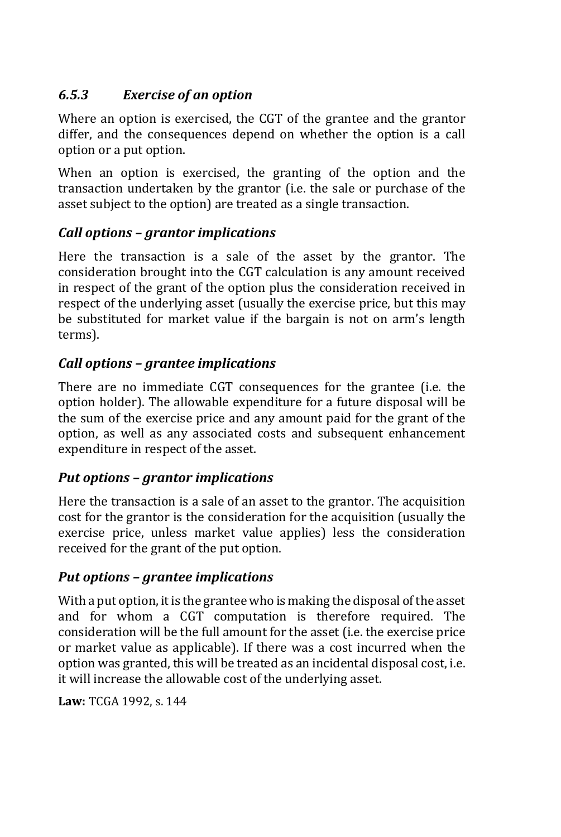## *6.5.3 Exercise of an option*

Where an option is exercised, the CGT of the grantee and the grantor differ, and the consequences depend on whether the option is a call option or a put option.

When an option is exercised, the granting of the option and the transaction undertaken by the grantor (i.e. the sale or purchase of the asset subject to the option) are treated as a single transaction.

### *Call options – grantor implications*

Here the transaction is a sale of the asset by the grantor. The consideration brought into the CGT calculation is any amount received in respect of the grant of the option plus the consideration received in respect of the underlying asset (usually the exercise price, but this may be substituted for market value if the bargain is not on arm's length terms).

### *Call options – grantee implications*

There are no immediate CGT consequences for the grantee (i.e. the option holder). The allowable expenditure for a future disposal will be the sum of the exercise price and any amount paid for the grant of the option, as well as any associated costs and subsequent enhancement expenditure in respect of the asset.

### *Put options – grantor implications*

Here the transaction is a sale of an asset to the grantor. The acquisition cost for the grantor is the consideration for the acquisition (usually the exercise price, unless market value applies) less the consideration received for the grant of the put option.

### *Put options – grantee implications*

With a put option, it is the grantee who is making the disposal of the asset and for whom a CGT computation is therefore required. The consideration will be the full amount for the asset (i.e. the exercise price or market value as applicable). If there was a cost incurred when the option was granted, this will be treated as an incidental disposal cost, i.e. it will increase the allowable cost of the underlying asset.

**Law:** TCGA 1992, s. 144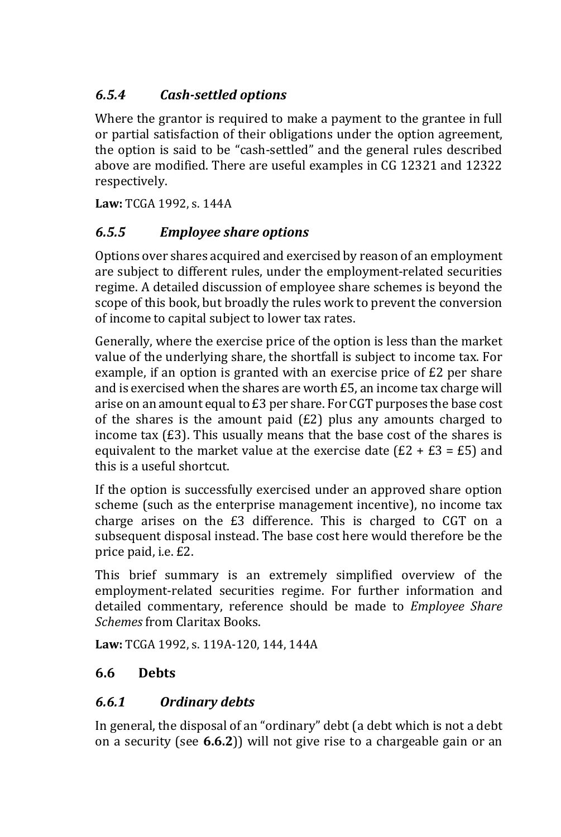# *6.5.4 Cash-settled options*

Where the grantor is required to make a payment to the grantee in full or partial satisfaction of their obligations under the option agreement, the option is said to be "cash-settled" and the general rules described above are modified. There are useful examples in CG 12321 and 12322 respectively.

**Law:** TCGA 1992, s. 144A

## *6.5.5 Employee share options*

Options over shares acquired and exercised by reason of an employment are subject to different rules, under the employment-related securities regime. A detailed discussion of employee share schemes is beyond the scope of this book, but broadly the rules work to prevent the conversion of income to capital subject to lower tax rates.

Generally, where the exercise price of the option is less than the market value of the underlying share, the shortfall is subject to income tax. For example, if an option is granted with an exercise price of £2 per share and is exercised when the shares are worth £5, an income tax charge will arise on an amount equal to £3 per share. For CGT purposes the base cost of the shares is the amount paid (£2) plus any amounts charged to income tax (£3). This usually means that the base cost of the shares is equivalent to the market value at the exercise date  $(E2 + E3 = E5)$  and this is a useful shortcut.

If the option is successfully exercised under an approved share option scheme (such as the enterprise management incentive), no income tax charge arises on the £3 difference. This is charged to CGT on a subsequent disposal instead. The base cost here would therefore be the price paid, i.e. £2.

This brief summary is an extremely simplified overview of the employment-related securities regime. For further information and detailed commentary, reference should be made to *Employee Share Schemes* from Claritax Books.

**Law:** TCGA 1992, s. 119A-120, 144, 144A

## **6.6 Debts**

### *6.6.1 Ordinary debts*

In general, the disposal of an "ordinary" debt (a debt which is not a debt on a security (see **6.6.2**)) will not give rise to a chargeable gain or an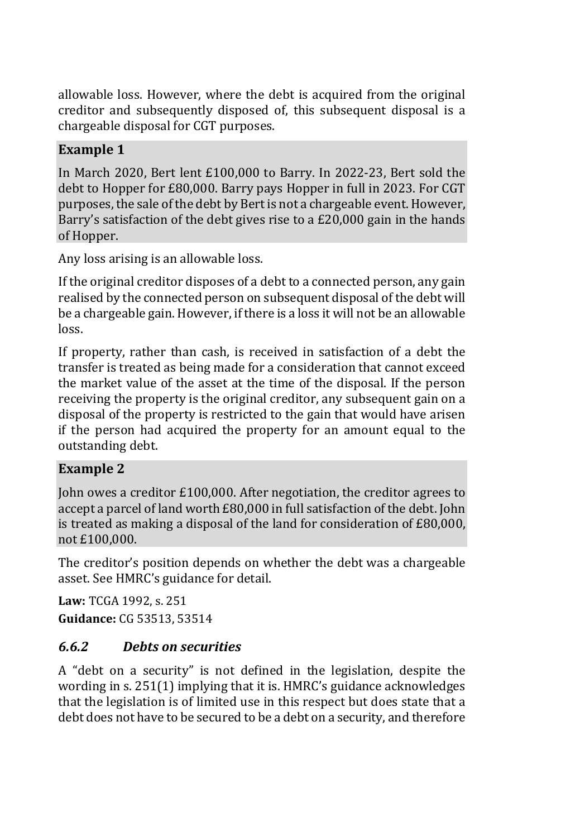allowable loss. However, where the debt is acquired from the original creditor and subsequently disposed of, this subsequent disposal is a chargeable disposal for CGT purposes.

### **Example 1**

In March 2020, Bert lent £100,000 to Barry. In 2022-23, Bert sold the debt to Hopper for £80,000. Barry pays Hopper in full in 2023. For CGT purposes, the sale of the debt by Bert is not a chargeable event. However, Barry's satisfaction of the debt gives rise to a £20,000 gain in the hands of Hopper.

Any loss arising is an allowable loss.

If the original creditor disposes of a debt to a connected person, any gain realised by the connected person on subsequent disposal of the debt will be a chargeable gain. However, if there is a loss it will not be an allowable loss.

If property, rather than cash, is received in satisfaction of a debt the transfer is treated as being made for a consideration that cannot exceed the market value of the asset at the time of the disposal. If the person receiving the property is the original creditor, any subsequent gain on a disposal of the property is restricted to the gain that would have arisen if the person had acquired the property for an amount equal to the outstanding debt.

### **Example 2**

John owes a creditor £100,000. After negotiation, the creditor agrees to accept a parcel of land worth £80,000 in full satisfaction of the debt. John is treated as making a disposal of the land for consideration of £80,000, not £100,000.

The creditor's position depends on whether the debt was a chargeable asset. See HMRC's guidance for detail.

**Law:** TCGA 1992, s. 251 **Guidance:** CG 53513, 53514

## *6.6.2 Debts on securities*

A "debt on a security" is not defined in the legislation, despite the wording in s. 251(1) implying that it is. HMRC's guidance acknowledges that the legislation is of limited use in this respect but does state that a debt does not have to be secured to be a debt on a security, and therefore